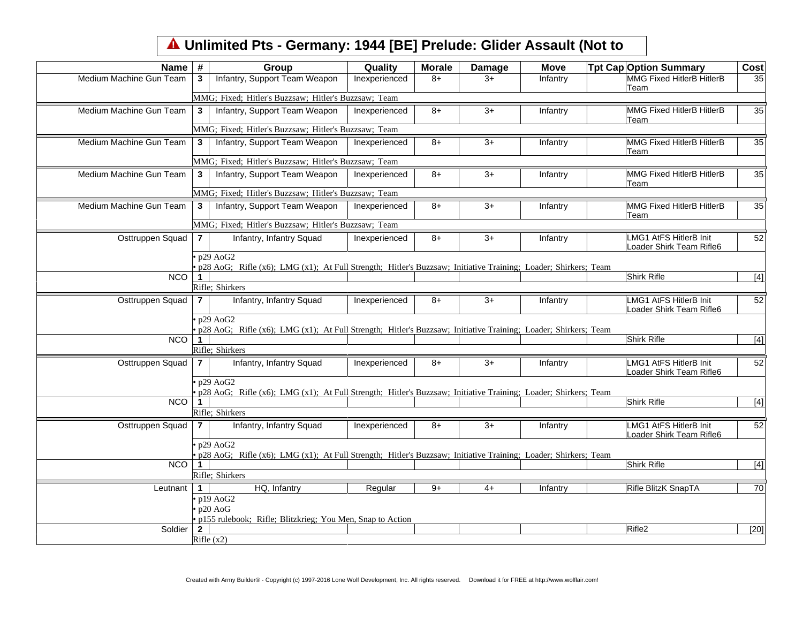## **Unlimited Pts - Germany: 1944 [BE] Prelude: Glider Assault (Not to**

| <b>Name</b>             | #              | Group                                                                                                                                        | Quality       | <b>Morale</b> | <b>Damage</b> | <b>Move</b> | <b>Tpt Cap Option Summary</b>                             | Cost  |
|-------------------------|----------------|----------------------------------------------------------------------------------------------------------------------------------------------|---------------|---------------|---------------|-------------|-----------------------------------------------------------|-------|
| Medium Machine Gun Team | 3              | Infantry, Support Team Weapon                                                                                                                | Inexperienced | $8+$          | $3+$          | Infantry    | <b>MMG Fixed HitlerB HitlerB</b><br>Team                  | 35    |
|                         |                | MMG; Fixed; Hitler's Buzzsaw; Hitler's Buzzsaw; Team                                                                                         |               |               |               |             |                                                           |       |
| Medium Machine Gun Team | $3^{\circ}$    | Infantry, Support Team Weapon                                                                                                                | Inexperienced | 8+            | $3+$          | Infantry    | MMG Fixed HitlerB HitlerB<br>Team                         | 35    |
|                         |                | MMG; Fixed; Hitler's Buzzsaw; Hitler's Buzzsaw; Team                                                                                         |               |               |               |             |                                                           |       |
| Medium Machine Gun Team | $\mathbf{3}$   | Infantry, Support Team Weapon                                                                                                                | Inexperienced | $8+$          | $3+$          | Infantry    | <b>MMG Fixed HitlerB HitlerB</b><br>Team                  | 35    |
|                         |                | MMG; Fixed; Hitler's Buzzsaw; Hitler's Buzzsaw; Team                                                                                         |               |               |               |             |                                                           |       |
| Medium Machine Gun Team | $3^{\circ}$    | Infantry, Support Team Weapon                                                                                                                | Inexperienced | $8+$          | $3+$          | Infantry    | <b>MMG Fixed HitlerB HitlerB</b><br>Team                  | 35    |
|                         |                | MMG; Fixed; Hitler's Buzzsaw; Hitler's Buzzsaw; Team                                                                                         |               |               |               |             |                                                           |       |
| Medium Machine Gun Team | $3^{\circ}$    | Infantry, Support Team Weapon                                                                                                                | Inexperienced | $8+$          | $3+$          | Infantry    | <b>MMG Fixed HitlerB HitlerB</b><br>Team                  | 35    |
|                         |                | MMG; Fixed; Hitler's Buzzsaw; Hitler's Buzzsaw; Team                                                                                         |               |               |               |             |                                                           |       |
| Osttruppen Squad        | $\mathbf{7}$   | Infantry, Infantry Squad                                                                                                                     | Inexperienced | $8+$          | $3+$          | Infantry    | LMG1 AtFS HitlerB Init<br>Loader Shirk Team Rifle6        | 52    |
|                         |                | $\cdot$ p29 AoG2                                                                                                                             |               |               |               |             |                                                           |       |
|                         |                | · p28 AoG; Rifle (x6); LMG (x1); At Full Strength; Hitler's Buzzsaw; Initiative Training; Loader; Shirkers; Team                             |               |               |               |             |                                                           |       |
| $NCO$ 1                 |                | Rifle; Shirkers                                                                                                                              |               |               |               |             | Shirk Rifle                                               | $[4]$ |
|                         |                |                                                                                                                                              |               |               |               |             |                                                           |       |
| Osttruppen Squad        | $\overline{7}$ | Infantry, Infantry Squad                                                                                                                     | Inexperienced | $8+$          | $3+$          | Infantry    | <b>LMG1 AtFS HitlerB Init</b><br>Loader Shirk Team Rifle6 | 52    |
|                         |                | $\cdot$ p29 AoG2<br>$\bullet$ p28 AoG; Rifle (x6); LMG (x1); At Full Strength; Hitler's Buzzsaw; Initiative Training; Loader; Shirkers; Team |               |               |               |             |                                                           |       |
| $NCO$   1               |                |                                                                                                                                              |               |               |               |             | Shirk Rifle                                               | [4]   |
|                         |                | Rifle; Shirkers                                                                                                                              |               |               |               |             |                                                           |       |
| Osttruppen Squad        | $\overline{7}$ | Infantry, Infantry Squad                                                                                                                     | Inexperienced | $8+$          | $3+$          | Infantry    | <b>LMG1 AtFS HitlerB Init</b><br>Loader Shirk Team Rifle6 | 52    |
|                         |                | $\cdot$ p29 AoG2                                                                                                                             |               |               |               |             |                                                           |       |
|                         |                | $\bullet$ p28 AoG; Rifle (x6); LMG (x1); At Full Strength; Hitler's Buzzsaw; Initiative Training; Loader; Shirkers; Team                     |               |               |               |             |                                                           |       |
| $NCO$   1               |                |                                                                                                                                              |               |               |               |             | Shirk Rifle                                               | $[4]$ |
|                         |                | Rifle; Shirkers                                                                                                                              |               |               |               |             |                                                           |       |
| Osttruppen Squad        | $\overline{7}$ | Infantry, Infantry Squad                                                                                                                     | Inexperienced | $8+$          | $3+$          | Infantry    | <b>LMG1 AtFS HitlerB Init</b><br>Loader Shirk Team Rifle6 | 52    |
|                         |                | $\cdot$ p29 AoG2                                                                                                                             |               |               |               |             |                                                           |       |
| $NCO$ 1                 |                | • p28 AoG; Rifle (x6); LMG (x1); At Full Strength; Hitler's Buzzsaw; Initiative Training; Loader; Shirkers; Team                             |               |               |               |             | Shirk Rifle                                               |       |
|                         |                | Rifle; Shirkers                                                                                                                              |               |               |               |             |                                                           | $[4]$ |
|                         |                |                                                                                                                                              |               |               |               |             |                                                           |       |
| Leutnant                | $\overline{1}$ | HQ, Infantry                                                                                                                                 | Regular       | $9+$          | $4+$          | Infantry    | Rifle BlitzK SnapTA                                       | 70    |
|                         |                | $\cdot$ p19 AoG2<br>$\cdot$ p20 AoG                                                                                                          |               |               |               |             |                                                           |       |
|                         |                | · p155 rulebook; Rifle; Blitzkrieg; You Men, Snap to Action                                                                                  |               |               |               |             |                                                           |       |
| Soldier                 | $\overline{2}$ |                                                                                                                                              |               |               |               |             | Rifle <sub>2</sub>                                        | [20]  |
|                         |                | Rifle (x2)                                                                                                                                   |               |               |               |             |                                                           |       |
|                         |                |                                                                                                                                              |               |               |               |             |                                                           |       |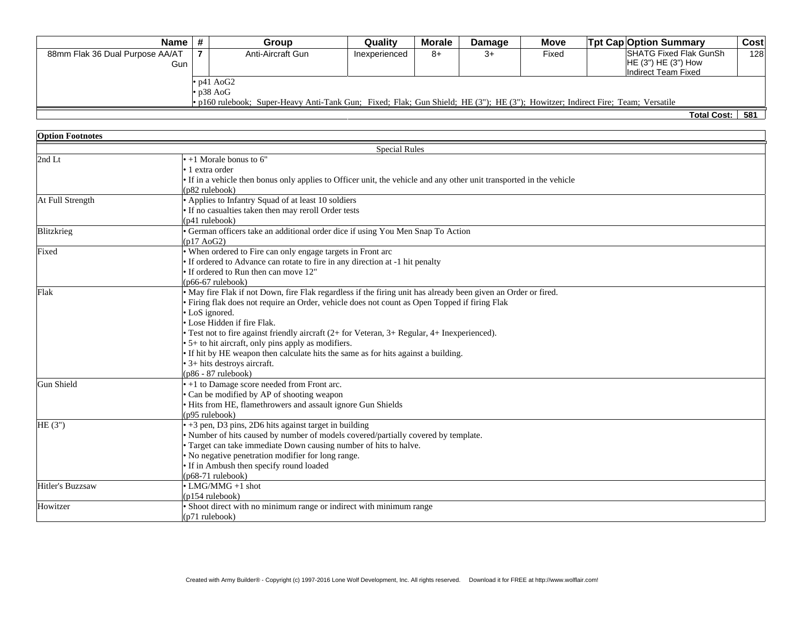| Name l                                                                                                                          |                  | Group             | Quality       | <b>Morale</b> | <b>Damage</b> | <b>Move</b> | <b>Tot Cap Option Summary</b> | Cost            |
|---------------------------------------------------------------------------------------------------------------------------------|------------------|-------------------|---------------|---------------|---------------|-------------|-------------------------------|-----------------|
| 88mm Flak 36 Dual Purpose AA/AT                                                                                                 |                  | Anti-Aircraft Gun | Inexperienced | 8+            | 3+            | Fixed       | <b>SHATG Fixed Flak GunSh</b> | 128             |
| Gun '                                                                                                                           |                  |                   |               |               |               |             | HE(3") HE(3") How             |                 |
|                                                                                                                                 |                  |                   |               |               |               |             | Indirect Team Fixed           |                 |
|                                                                                                                                 | $\cdot$ p41 AoG2 |                   |               |               |               |             |                               |                 |
|                                                                                                                                 | $\cdot$ p38 AoG  |                   |               |               |               |             |                               |                 |
| • p160 rulebook; Super-Heavy Anti-Tank Gun; Fixed; Flak; Gun Shield; HE (3"); HE (3"); Howitzer; Indirect Fire; Team; Versatile |                  |                   |               |               |               |             |                               |                 |
|                                                                                                                                 |                  |                   |               |               |               |             | Tatal Caatul                  | EO <sub>4</sub> |

**Total Cost: 581**

| <b>Option Footnotes</b> |                                                                                                                      |  |  |  |  |
|-------------------------|----------------------------------------------------------------------------------------------------------------------|--|--|--|--|
|                         | <b>Special Rules</b>                                                                                                 |  |  |  |  |
| 2nd Lt                  | $\cdot$ +1 Morale bonus to 6"                                                                                        |  |  |  |  |
|                         | • 1 extra order                                                                                                      |  |  |  |  |
|                         | • If in a vehicle then bonus only applies to Officer unit, the vehicle and any other unit transported in the vehicle |  |  |  |  |
|                         | (p82 rulebook)                                                                                                       |  |  |  |  |
| At Full Strength        | • Applies to Infantry Squad of at least 10 soldiers                                                                  |  |  |  |  |
|                         | • If no casualties taken then may reroll Order tests                                                                 |  |  |  |  |
|                         | (p41 rulebook)                                                                                                       |  |  |  |  |
| Blitzkrieg              | · German officers take an additional order dice if using You Men Snap To Action                                      |  |  |  |  |
|                         | (p17 A <sub>0</sub> G <sub>2</sub> )                                                                                 |  |  |  |  |
| Fixed                   | • When ordered to Fire can only engage targets in Front arc                                                          |  |  |  |  |
|                         | • If ordered to Advance can rotate to fire in any direction at -1 hit penalty                                        |  |  |  |  |
|                         | • If ordered to Run then can move 12"                                                                                |  |  |  |  |
|                         | $(p66-67 \text{ rulebook})$                                                                                          |  |  |  |  |
| Flak                    | • May fire Flak if not Down, fire Flak regardless if the firing unit has already been given an Order or fired.       |  |  |  |  |
|                         | · Firing flak does not require an Order, vehicle does not count as Open Topped if firing Flak                        |  |  |  |  |
|                         | • LoS ignored.                                                                                                       |  |  |  |  |
|                         | · Lose Hidden if fire Flak.                                                                                          |  |  |  |  |
|                         | • Test not to fire against friendly aircraft (2+ for Veteran, 3+ Regular, 4+ Inexperienced).                         |  |  |  |  |
|                         | • 5+ to hit aircraft, only pins apply as modifiers.                                                                  |  |  |  |  |
|                         | • If hit by HE weapon then calculate hits the same as for hits against a building.                                   |  |  |  |  |
|                         | • 3+ hits destroys aircraft.                                                                                         |  |  |  |  |
|                         | $(p86 - 87$ rulebook)                                                                                                |  |  |  |  |
| Gun Shield              | • +1 to Damage score needed from Front arc.                                                                          |  |  |  |  |
|                         | • Can be modified by AP of shooting weapon                                                                           |  |  |  |  |
|                         | · Hits from HE, flamethrowers and assault ignore Gun Shields                                                         |  |  |  |  |
|                         | (p95 rulebook)                                                                                                       |  |  |  |  |
| HE(3")                  | $\bullet$ +3 pen, D3 pins, 2D6 hits against target in building                                                       |  |  |  |  |
|                         | · Number of hits caused by number of models covered/partially covered by template.                                   |  |  |  |  |
|                         | • Target can take immediate Down causing number of hits to halve.                                                    |  |  |  |  |
|                         | • No negative penetration modifier for long range.                                                                   |  |  |  |  |
|                         | • If in Ambush then specify round loaded                                                                             |  |  |  |  |
|                         | $(p68-71$ rulebook)                                                                                                  |  |  |  |  |
| Hitler's Buzzsaw        | $\bullet$ LMG/MMG +1 shot                                                                                            |  |  |  |  |
|                         | (p154 rulebook)                                                                                                      |  |  |  |  |
| Howitzer                | • Shoot direct with no minimum range or indirect with minimum range                                                  |  |  |  |  |
|                         | (p71 rulebook)                                                                                                       |  |  |  |  |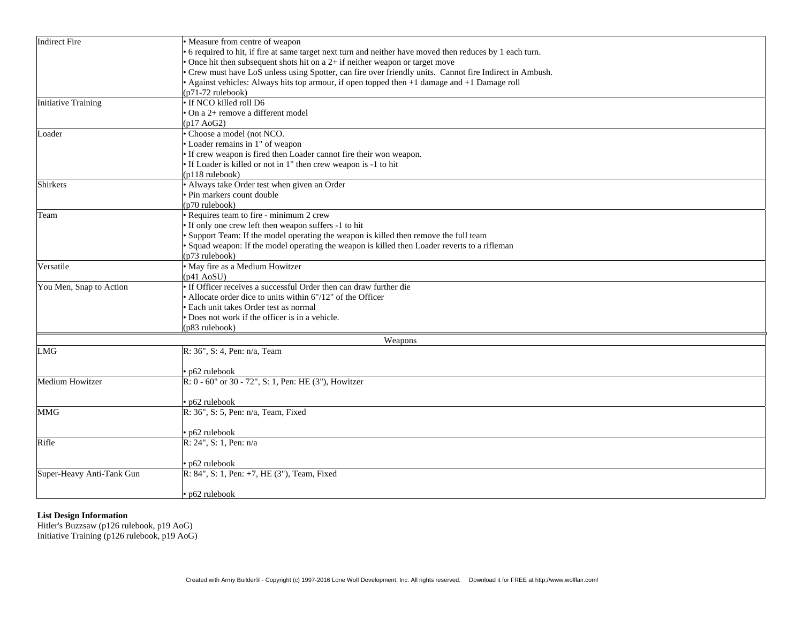| Indirect Fire              | • Measure from centre of weapon                                                                          |  |  |  |  |  |
|----------------------------|----------------------------------------------------------------------------------------------------------|--|--|--|--|--|
|                            | 6 required to hit, if fire at same target next turn and neither have moved then reduces by 1 each turn.  |  |  |  |  |  |
|                            | • Once hit then subsequent shots hit on a 2+ if neither weapon or target move                            |  |  |  |  |  |
|                            | • Crew must have LoS unless using Spotter, can fire over friendly units. Cannot fire Indirect in Ambush. |  |  |  |  |  |
|                            | • Against vehicles: Always hits top armour, if open topped then +1 damage and +1 Damage roll             |  |  |  |  |  |
|                            | $(p71-72 \text{ rulebook})$                                                                              |  |  |  |  |  |
| <b>Initiative Training</b> | · If NCO killed roll D6                                                                                  |  |  |  |  |  |
|                            | · On a 2+ remove a different model                                                                       |  |  |  |  |  |
|                            | (p17 A <sub>0</sub> G <sub>2</sub> )                                                                     |  |  |  |  |  |
| Loader                     | · Choose a model (not NCO.                                                                               |  |  |  |  |  |
|                            | • Loader remains in 1" of weapon                                                                         |  |  |  |  |  |
|                            | • If crew weapon is fired then Loader cannot fire their won weapon.                                      |  |  |  |  |  |
|                            | • If Loader is killed or not in 1" then crew weapon is -1 to hit                                         |  |  |  |  |  |
|                            | $(p118 \text{ rulebook})$                                                                                |  |  |  |  |  |
| Shirkers                   | • Always take Order test when given an Order                                                             |  |  |  |  |  |
|                            | · Pin markers count double                                                                               |  |  |  |  |  |
|                            | (p70 rulebook)                                                                                           |  |  |  |  |  |
| Team                       | Requires team to fire - minimum 2 crew                                                                   |  |  |  |  |  |
|                            | • If only one crew left then weapon suffers -1 to hit                                                    |  |  |  |  |  |
|                            | • Support Team: If the model operating the weapon is killed then remove the full team                    |  |  |  |  |  |
|                            | · Squad weapon: If the model operating the weapon is killed then Loader reverts to a rifleman            |  |  |  |  |  |
|                            | $(p73$ rulebook)                                                                                         |  |  |  |  |  |
| Versatile                  | • May fire as a Medium Howitzer                                                                          |  |  |  |  |  |
|                            | (p41 AoSU)                                                                                               |  |  |  |  |  |
| You Men, Snap to Action    | • If Officer receives a successful Order then can draw further die                                       |  |  |  |  |  |
|                            | • Allocate order dice to units within 6"/12" of the Officer                                              |  |  |  |  |  |
|                            | · Each unit takes Order test as normal                                                                   |  |  |  |  |  |
|                            | • Does not work if the officer is in a vehicle.                                                          |  |  |  |  |  |
|                            | (p83 rulebook)                                                                                           |  |  |  |  |  |
|                            | Weapons                                                                                                  |  |  |  |  |  |
| LMG                        | R: 36", S: 4, Pen: n/a, Team                                                                             |  |  |  |  |  |
|                            |                                                                                                          |  |  |  |  |  |
|                            | $\cdot$ p62 rulebook                                                                                     |  |  |  |  |  |
| Medium Howitzer            | R: 0 - 60" or 30 - 72", S: 1, Pen: HE (3"), Howitzer                                                     |  |  |  |  |  |
|                            |                                                                                                          |  |  |  |  |  |
|                            | · p62 rulebook                                                                                           |  |  |  |  |  |
| <b>MMG</b>                 | $R: 36$ ", S: 5, Pen: n/a, Team, Fixed                                                                   |  |  |  |  |  |
|                            |                                                                                                          |  |  |  |  |  |
|                            | • p62 rulebook                                                                                           |  |  |  |  |  |
| Rifle                      | R: 24", S: 1, Pen: n/a                                                                                   |  |  |  |  |  |
|                            |                                                                                                          |  |  |  |  |  |
|                            | $\cdot$ p62 rulebook                                                                                     |  |  |  |  |  |
| Super-Heavy Anti-Tank Gun  | R: 84", S: 1, Pen: +7, HE (3"), Team, Fixed                                                              |  |  |  |  |  |
|                            |                                                                                                          |  |  |  |  |  |
|                            | $\cdot$ p62 rulebook                                                                                     |  |  |  |  |  |
|                            |                                                                                                          |  |  |  |  |  |

## **List Design Information**

Hitler's Buzzsaw (p126 rulebook, p19 AoG) Initiative Training (p126 rulebook, p19 AoG)